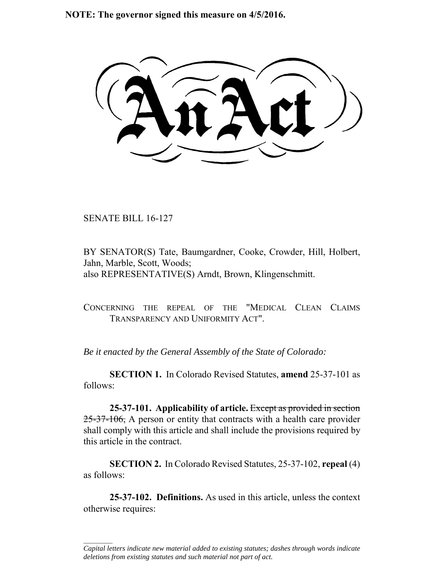**NOTE: The governor signed this measure on 4/5/2016.**

SENATE BILL 16-127

 $\frac{1}{2}$ 

BY SENATOR(S) Tate, Baumgardner, Cooke, Crowder, Hill, Holbert, Jahn, Marble, Scott, Woods; also REPRESENTATIVE(S) Arndt, Brown, Klingenschmitt.

CONCERNING THE REPEAL OF THE "MEDICAL CLEAN CLAIMS TRANSPARENCY AND UNIFORMITY ACT".

*Be it enacted by the General Assembly of the State of Colorado:*

**SECTION 1.** In Colorado Revised Statutes, **amend** 25-37-101 as follows:

**25-37-101. Applicability of article.** Except as provided in section 25-37-106, A person or entity that contracts with a health care provider shall comply with this article and shall include the provisions required by this article in the contract.

**SECTION 2.** In Colorado Revised Statutes, 25-37-102, **repeal** (4) as follows:

**25-37-102. Definitions.** As used in this article, unless the context otherwise requires:

*Capital letters indicate new material added to existing statutes; dashes through words indicate deletions from existing statutes and such material not part of act.*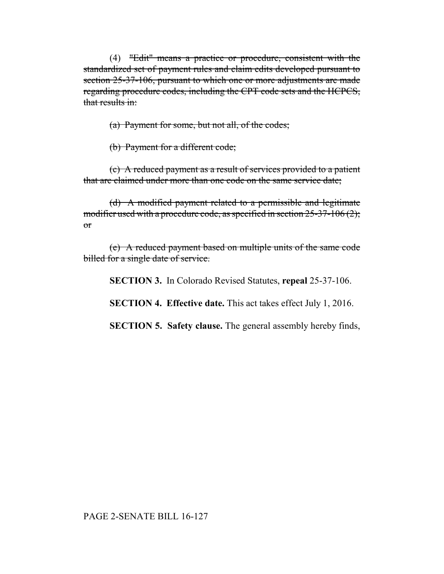(4) "Edit" means a practice or procedure, consistent with the standardized set of payment rules and claim edits developed pursuant to section 25-37-106, pursuant to which one or more adjustments are made regarding procedure codes, including the CPT code sets and the HCPCS, that results in:

(a) Payment for some, but not all, of the codes;

(b) Payment for a different code;

(c) A reduced payment as a result of services provided to a patient that are claimed under more than one code on the same service date;

(d) A modified payment related to a permissible and legitimate modifier used with a procedure code, as specified in section 25-37-106 (2); or

(e) A reduced payment based on multiple units of the same code billed for a single date of service.

**SECTION 3.** In Colorado Revised Statutes, **repeal** 25-37-106.

**SECTION 4. Effective date.** This act takes effect July 1, 2016.

**SECTION 5. Safety clause.** The general assembly hereby finds,